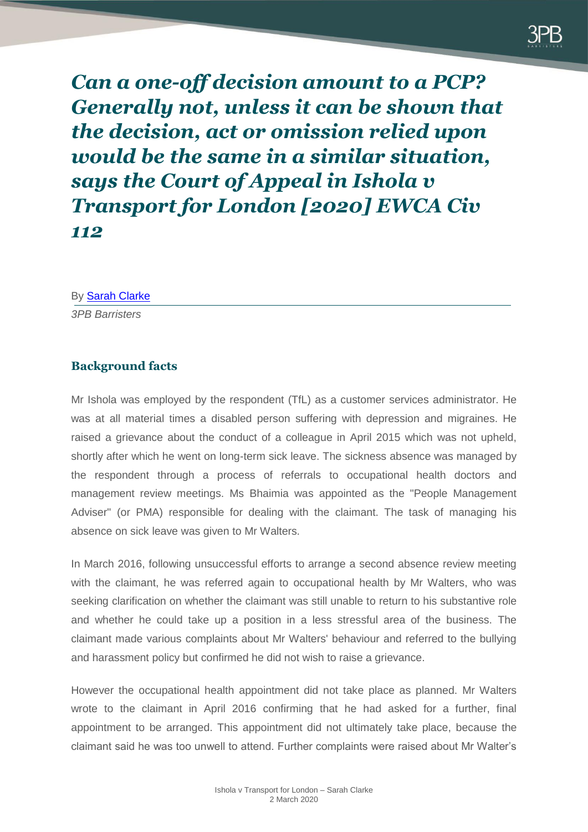

*Can a one-off decision amount to a PCP? Generally not, unless it can be shown that the decision, act or omission relied upon would be the same in a similar situation, says the Court of Appeal in Ishola v Transport for London [2020] EWCA Civ 112*

By [Sarah Clarke](https://www.3pb.co.uk/barristers/sarah-clarke/employment-and-discrimination/) *3PB Barristers*

#### **Background facts**

Mr Ishola was employed by the respondent (TfL) as a customer services administrator. He was at all material times a disabled person suffering with depression and migraines. He raised a grievance about the conduct of a colleague in April 2015 which was not upheld, shortly after which he went on long-term sick leave. The sickness absence was managed by the respondent through a process of referrals to occupational health doctors and management review meetings. Ms Bhaimia was appointed as the "People Management Adviser" (or PMA) responsible for dealing with the claimant. The task of managing his absence on sick leave was given to Mr Walters.

In March 2016, following unsuccessful efforts to arrange a second absence review meeting with the claimant, he was referred again to occupational health by Mr Walters, who was seeking clarification on whether the claimant was still unable to return to his substantive role and whether he could take up a position in a less stressful area of the business. The claimant made various complaints about Mr Walters' behaviour and referred to the bullying and harassment policy but confirmed he did not wish to raise a grievance.

However the occupational health appointment did not take place as planned. Mr Walters wrote to the claimant in April 2016 confirming that he had asked for a further, final appointment to be arranged. This appointment did not ultimately take place, because the claimant said he was too unwell to attend. Further complaints were raised about Mr Walter's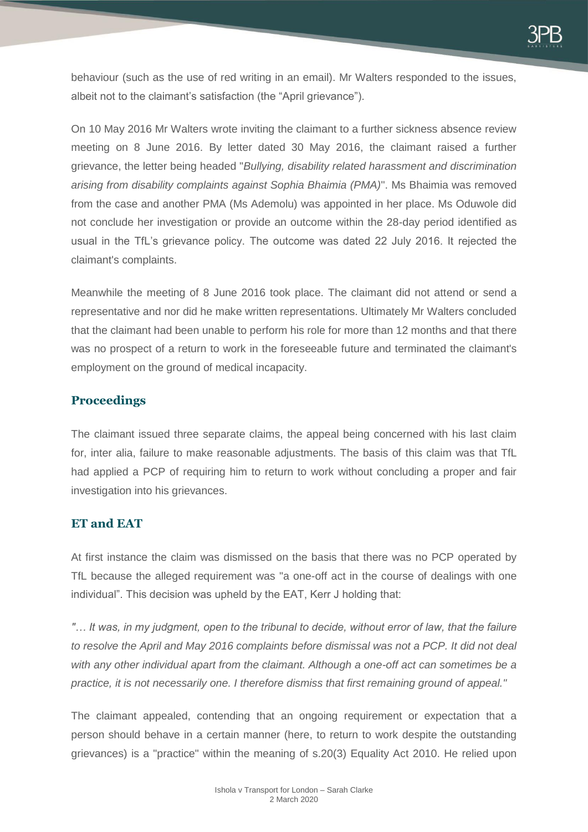behaviour (such as the use of red writing in an email). Mr Walters responded to the issues, albeit not to the claimant's satisfaction (the "April grievance").

On 10 May 2016 Mr Walters wrote inviting the claimant to a further sickness absence review meeting on 8 June 2016. By letter dated 30 May 2016, the claimant raised a further grievance, the letter being headed "*Bullying, disability related harassment and discrimination arising from disability complaints against Sophia Bhaimia (PMA)*". Ms Bhaimia was removed from the case and another PMA (Ms Ademolu) was appointed in her place. Ms Oduwole did not conclude her investigation or provide an outcome within the 28-day period identified as usual in the TfL's grievance policy. The outcome was dated 22 July 2016. It rejected the claimant's complaints.

Meanwhile the meeting of 8 June 2016 took place. The claimant did not attend or send a representative and nor did he make written representations. Ultimately Mr Walters concluded that the claimant had been unable to perform his role for more than 12 months and that there was no prospect of a return to work in the foreseeable future and terminated the claimant's employment on the ground of medical incapacity.

#### **Proceedings**

The claimant issued three separate claims, the appeal being concerned with his last claim for, inter alia, failure to make reasonable adjustments. The basis of this claim was that TfL had applied a PCP of requiring him to return to work without concluding a proper and fair investigation into his grievances.

# **ET and EAT**

At first instance the claim was dismissed on the basis that there was no PCP operated by TfL because the alleged requirement was "a one-off act in the course of dealings with one individual". This decision was upheld by the EAT, Kerr J holding that:

*"… It was, in my judgment, open to the tribunal to decide, without error of law, that the failure*  to resolve the April and May 2016 complaints before dismissal was not a PCP. It did not deal *with any other individual apart from the claimant. Although a one-off act can sometimes be a practice, it is not necessarily one. I therefore dismiss that first remaining ground of appeal."*

The claimant appealed, contending that an ongoing requirement or expectation that a person should behave in a certain manner (here, to return to work despite the outstanding grievances) is a "practice" within the meaning of s.20(3) Equality Act 2010. He relied upon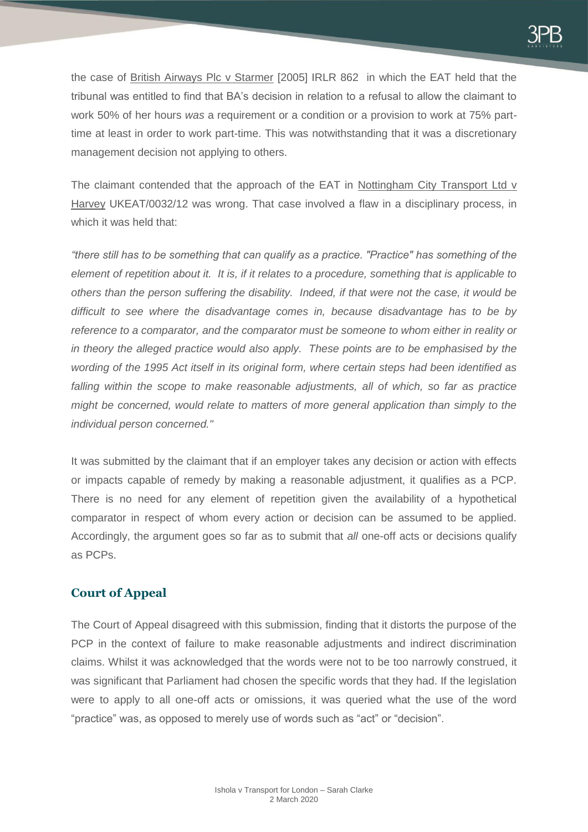the case of British Airways Plc v Starmer [\[2005\] IRLR 862](https://www.bailii.org/cgi-bin/redirect.cgi?path=/uk/cases/UKEAT/2005/0306_05_0607.html) in which the EAT held that the tribunal was entitled to find that BA's decision in relation to a refusal to allow the claimant to work 50% of her hours *was* a requirement or a condition or a provision to work at 75% parttime at least in order to work part-time. This was notwithstanding that it was a discretionary management decision not applying to others.

The claimant contended that the approach of the EAT in Nottingham City Transport Ltd v Harvey UKEAT/0032/12 was wrong. That case involved a flaw in a disciplinary process, in which it was held that:

*"there still has to be something that can qualify as a practice. "Practice" has something of the element of repetition about it. It is, if it relates to a procedure, something that is applicable to others than the person suffering the disability. Indeed, if that were not the case, it would be difficult to see where the disadvantage comes in, because disadvantage has to be by reference to a comparator, and the comparator must be someone to whom either in reality or in theory the alleged practice would also apply. These points are to be emphasised by the wording of the 1995 Act itself in its original form, where certain steps had been identified as falling within the scope to make reasonable adjustments, all of which, so far as practice might be concerned, would relate to matters of more general application than simply to the individual person concerned."*

It was submitted by the claimant that if an employer takes any decision or action with effects or impacts capable of remedy by making a reasonable adjustment, it qualifies as a PCP. There is no need for any element of repetition given the availability of a hypothetical comparator in respect of whom every action or decision can be assumed to be applied. Accordingly, the argument goes so far as to submit that *all* one-off acts or decisions qualify as PCPs.

# **Court of Appeal**

The Court of Appeal disagreed with this submission, finding that it distorts the purpose of the PCP in the context of failure to make reasonable adjustments and indirect discrimination claims. Whilst it was acknowledged that the words were not to be too narrowly construed, it was significant that Parliament had chosen the specific words that they had. If the legislation were to apply to all one-off acts or omissions, it was queried what the use of the word "practice" was, as opposed to merely use of words such as "act" or "decision".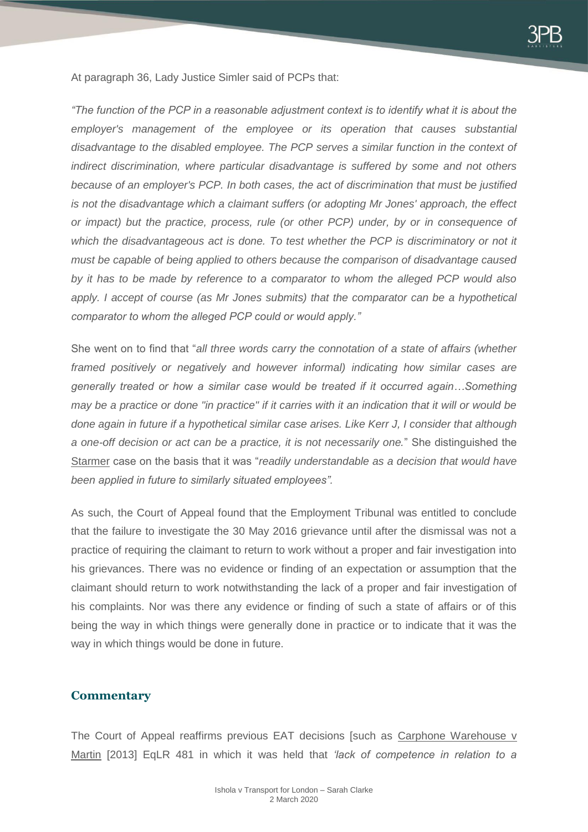

At paragraph 36, Lady Justice Simler said of PCPs that:

*"The function of the PCP in a reasonable adjustment context is to identify what it is about the employer's management of the employee or its operation that causes substantial disadvantage to the disabled employee. The PCP serves a similar function in the context of indirect discrimination, where particular disadvantage is suffered by some and not others because of an employer's PCP. In both cases, the act of discrimination that must be justified is not the disadvantage which a claimant suffers (or adopting Mr Jones' approach, the effect or impact) but the practice, process, rule (or other PCP) under, by or in consequence of*  which the disadvantageous act is done. To test whether the PCP is discriminatory or not it *must be capable of being applied to others because the comparison of disadvantage caused by it has to be made by reference to a comparator to whom the alleged PCP would also apply. I accept of course (as Mr Jones submits) that the comparator can be a hypothetical comparator to whom the alleged PCP could or would apply."*

She went on to find that "*all three words carry the connotation of a state of affairs (whether framed positively or negatively and however informal) indicating how similar cases are generally treated or how a similar case would be treated if it occurred again…Something may be a practice or done "in practice" if it carries with it an indication that it will or would be done again in future if a hypothetical similar case arises. Like Kerr J, I consider that although a one-off decision or act can be a practice, it is not necessarily one.*" She distinguished the Starmer case on the basis that it was "*readily understandable as a decision that would have been applied in future to similarly situated employees".*

As such, the Court of Appeal found that the Employment Tribunal was entitled to conclude that the failure to investigate the 30 May 2016 grievance until after the dismissal was not a practice of requiring the claimant to return to work without a proper and fair investigation into his grievances. There was no evidence or finding of an expectation or assumption that the claimant should return to work notwithstanding the lack of a proper and fair investigation of his complaints. Nor was there any evidence or finding of such a state of affairs or of this being the way in which things were generally done in practice or to indicate that it was the way in which things would be done in future.

#### **Commentary**

The Court of Appeal reaffirms previous EAT decisions [such as Carphone Warehouse v Martin [2013] EqLR 481 in which it was held that *'lack of competence in relation to a*